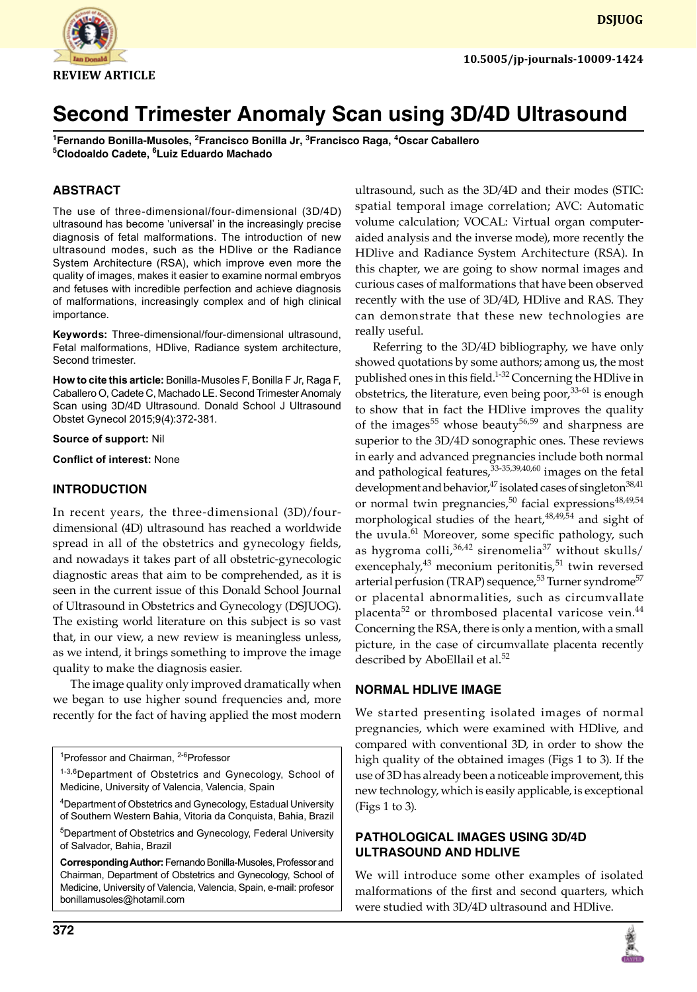

<sup>1</sup>Fernando Bonilla-Musoles, <sup>2</sup>Francisco Bonilla Jr, <sup>3</sup>Francisco Raga, <sup>4</sup>Oscar Caballero **5 Clodoaldo Cadete, 6 Luiz Eduardo Machado**

# **ABSTRACT**

The use of three-dimensional/four-dimensional (3D/4D) ultrasound has become 'universal' in the increasingly precise diagnosis of fetal malformations. The introduction of new ultrasound modes, such as the HDlive or the Radiance System Architecture (RSA), which improve even more the quality of images, makes it easier to examine normal embryos and fetuses with incredible perfection and achieve diagnosis of malformations, increasingly complex and of high clinical importance.

**Keywords:** Three-dimensional/four-dimensional ultrasound, Fetal malformations, HDlive, Radiance system architecture, Second trimester.

**How to cite this article:** Bonilla-Musoles F, Bonilla F Jr, Raga F, Caballero O, Cadete C, Machado LE. Second Trimester Anomaly Scan using 3D/4D Ultrasound. Donald School J Ultrasound Obstet Gynecol 2015;9(4):372-381.

#### **Source of support:** Nil

**Conflict of interest:** None

### **INTRODUCTION**

In recent years, the three-dimensional (3D)/fourdimensional (4D) ultrasound has reached a worldwide spread in all of the obstetrics and gynecology fields, and nowadays it takes part of all obstetric-gynecologic diagnostic areas that aim to be comprehended, as it is seen in the current issue of this Donald School Journal of Ultrasound in Obstetrics and Gynecology (DSJUOG). The existing world literature on this subject is so vast that, in our view, a new review is meaningless unless, as we intend, it brings something to improve the image quality to make the diagnosis easier.

The image quality only improved dramatically when we began to use higher sound frequencies and, more recently for the fact of having applied the most modern

4 Department of Obstetrics and Gynecology, Estadual University of Southern Western Bahia, Vitoria da Conquista, Bahia, Brazil

5 Department of Obstetrics and Gynecology, Federal University of Salvador, Bahia, Brazil

**Corresponding Author:** Fernando Bonilla-Musoles, Professor and Chairman, Department of Obstetrics and Gynecology, School of Medicine, University of Valencia, Valencia, Spain, e-mail: profesor bonillamusoles@hotamil.com

ultrasound, such as the 3D/4D and their modes (STIC: spatial temporal image correlation; AVC: Automatic volume calculation; VOCAL: Virtual organ computeraided analysis and the inverse mode), more recently the HDlive and Radiance System Architecture (RSA). In this chapter, we are going to show normal images and curious cases of malformations that have been observed recently with the use of 3D/4D, HDlive and RAS. They can demonstrate that these new technologies are really useful.

Referring to the 3D/4D bibliography, we have only showed quotations by some authors; among us, the most published ones in this field.<sup>1-32</sup> Concerning the HDlive in obstetrics, the literature, even being poor,  $33-61$  is enough to show that in fact the HDlive improves the quality of the images<sup>55</sup> whose beauty<sup>56,59</sup> and sharpness are superior to the 3D/4D sonographic ones. These reviews in early and advanced pregnancies include both normal and pathological features,  $33-35,39,40,60$  images on the fetal development and behavior,<sup>47</sup> isolated cases of singleton<sup>38,41</sup> or normal twin pregnancies,<sup>50</sup> facial expressions<sup>48,49,54</sup> morphological studies of the heart,  $48,49,54$  and sight of the uvula.<sup>61</sup> Moreover, some specific pathology, such as hygroma colli, $36,42$  sirenomelia<sup>37</sup> without skulls/ exencephaly, $43$  meconium peritonitis, $51$  twin reversed arterial perfusion (TRAP) sequence,<sup>53</sup> Turner syndrome<sup>57</sup> or placental abnormalities, such as circumvallate placenta<sup>52</sup> or thrombosed placental varicose vein.<sup>44</sup> Concerning the RSA, there is only a mention, with a small picture, in the case of circumvallate placenta recently described by AboEllail et al.<sup>52</sup>

#### **NORMAL HDlive IMAGE**

We started presenting isolated images of normal pregnancies, which were examined with HDlive, and compared with conventional 3D, in order to show the high quality of the obtained images (Figs 1 to 3). If the use of 3D has already been a noticeable improvement, this new technology, which is easily applicable, is exceptional (Figs 1 to 3).

## **PATHOLOGICAL IMAGES USING 3D/4D ULTRASOUND AND HDLIVE**

We will introduce some other examples of isolated malformations of the first and second quarters, which were studied with 3D/4D ultrasound and HDlive.



<sup>&</sup>lt;sup>1</sup>Professor and Chairman, <sup>2-6</sup>Professor

<sup>1-3,6</sup>Department of Obstetrics and Gynecology, School of Medicine, University of Valencia, Valencia, Spain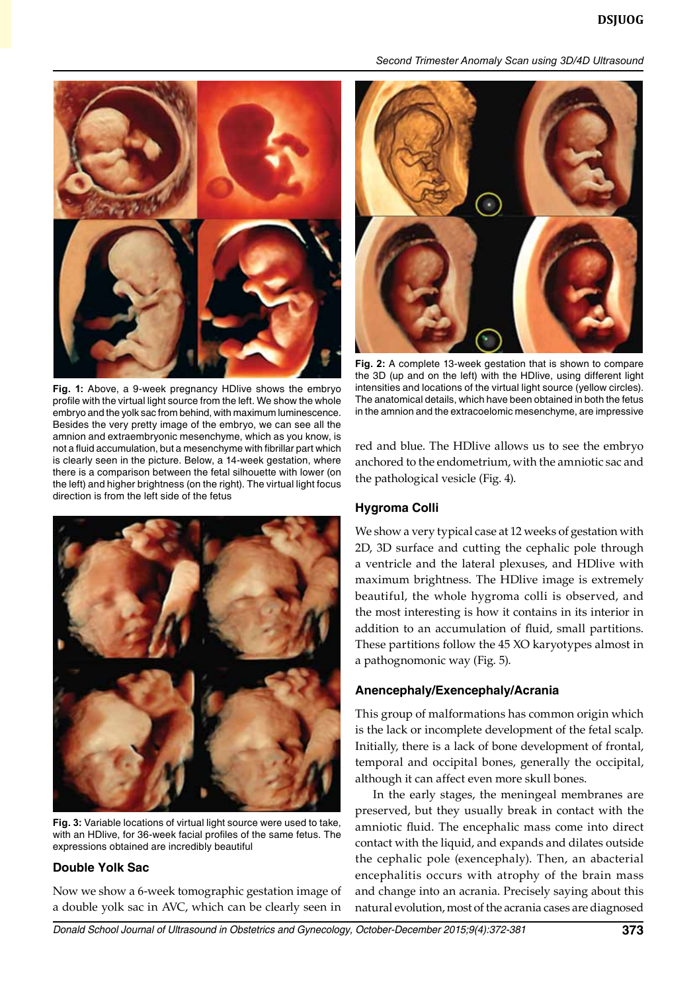

**Fig. 1:** Above, a 9-week pregnancy HDlive shows the embryo profile with the virtual light source from the left. We show the whole embryo and the yolk sac from behind, with maximum luminescence. Besides the very pretty image of the embryo, we can see all the amnion and extraembryonic mesenchyme, which as you know, is not a fluid accumulation, but a mesenchyme with fibrillar part which is clearly seen in the picture. Below, a 14-week gestation, where there is a comparison between the fetal silhouette with lower (on the left) and higher brightness (on the right). The virtual light focus direction is from the left side of the fetus



**Fig. 3:** Variable locations of virtual light source were used to take, with an HDlive, for 36-week facial profiles of the same fetus. The expressions obtained are incredibly beautiful

#### **Double Yolk Sac**

Now we show a 6-week tomographic gestation image of a double yolk sac in AVC, which can be clearly seen in



**Fig. 2:** A complete 13-week gestation that is shown to compare the 3D (up and on the left) with the HDlive, using different light intensities and locations of the virtual light source (yellow circles). The anatomical details, which have been obtained in both the fetus in the amnion and the extracoelomic mesenchyme, are impressive

red and blue. The HDlive allows us to see the embryo anchored to the endometrium, with the amniotic sac and the pathological vesicle (Fig. 4).

#### **Hygroma Colli**

We show a very typical case at 12 weeks of gestation with 2D, 3D surface and cutting the cephalic pole through a ventricle and the lateral plexuses, and HDlive with maximum brightness. The HDlive image is extremely beautiful, the whole hygroma colli is observed, and the most interesting is how it contains in its interior in addition to an accumulation of fluid, small partitions. These partitions follow the 45 XO karyotypes almost in a pathognomonic way (Fig. 5).

#### **Anencephaly/Exencephaly/Acrania**

This group of malformations has common origin which is the lack or incomplete development of the fetal scalp. Initially, there is a lack of bone development of frontal, temporal and occipital bones, generally the occipital, although it can affect even more skull bones.

In the early stages, the meningeal membranes are preserved, but they usually break in contact with the amniotic fluid. The encephalic mass come into direct contact with the liquid, and expands and dilates outside the cephalic pole (exencephaly). Then, an abacterial encephalitis occurs with atrophy of the brain mass and change into an acrania. Precisely saying about this natural evolution, most of the acrania cases are diagnosed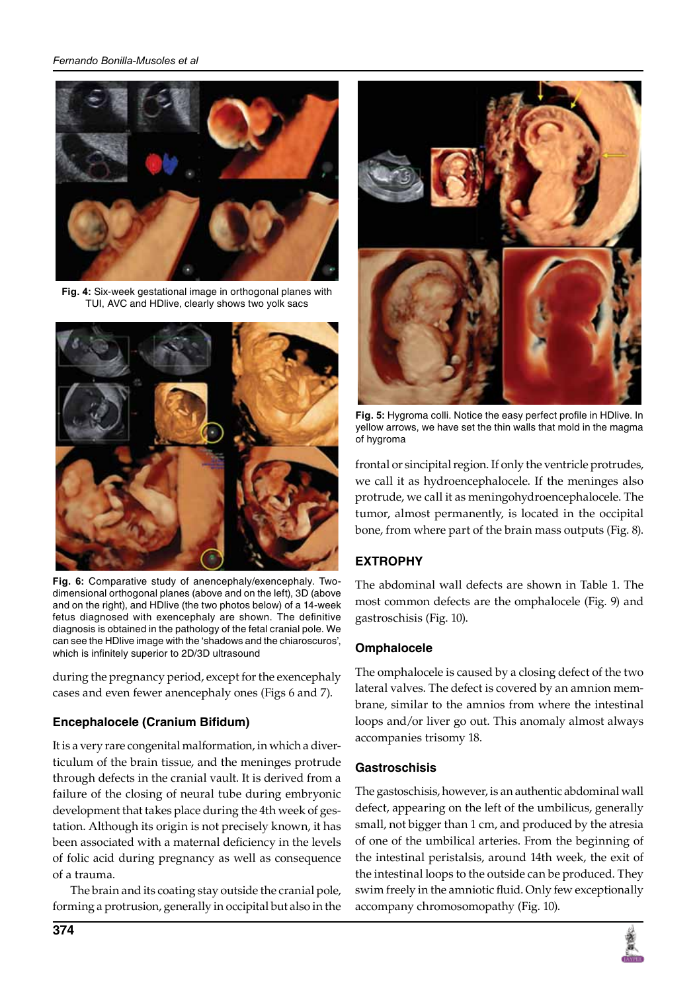#### *Fernando Bonilla-Musoles et al*



**Fig. 4:** Six-week gestational image in orthogonal planes with TUI, AVC and HDlive, clearly shows two yolk sacs



**Fig. 6:** Comparative study of anencephaly/exencephaly. Twodimensional orthogonal planes (above and on the left), 3D (above and on the right), and HDlive (the two photos below) of a 14-week fetus diagnosed with exencephaly are shown. The definitive diagnosis is obtained in the pathology of the fetal cranial pole. We can see the HDlive image with the 'shadows and the chiaroscuros', which is infinitely superior to 2D/3D ultrasound

during the pregnancy period, except for the exencephaly cases and even fewer anencephaly ones (Figs 6 and 7).

# **Encephalocele (Cranium Bifidum)**

It is a very rare congenital malformation, in which a diverticulum of the brain tissue, and the meninges protrude through defects in the cranial vault. It is derived from a failure of the closing of neural tube during embryonic development that takes place during the 4th week of gestation. Although its origin is not precisely known, it has been associated with a maternal deficiency in the levels of folic acid during pregnancy as well as consequence of a trauma.

The brain and its coating stay outside the cranial pole, forming a protrusion, generally in occipital but also in the



**Fig. 5:** Hygroma colli. Notice the easy perfect profile in HDlive. In yellow arrows, we have set the thin walls that mold in the magma of hygroma

frontal or sincipital region. If only the ventricle protrudes, we call it as hydroencephalocele. If the meninges also protrude, we call it as meningohydroencephalocele. The tumor, almost permanently, is located in the occipital bone, from where part of the brain mass outputs (Fig. 8).

# **EXTROPHY**

The abdominal wall defects are shown in Table 1. The most common defects are the omphalocele (Fig. 9) and gastroschisis (Fig. 10).

## **Omphalocele**

The omphalocele is caused by a closing defect of the two lateral valves. The defect is covered by an amnion membrane, similar to the amnios from where the intestinal loops and/or liver go out. This anomaly almost always accompanies trisomy 18.

## **Gastroschisis**

The gastoschisis, however, is an authentic abdominal wall defect, appearing on the left of the umbilicus, generally small, not bigger than 1 cm, and produced by the atresia of one of the umbilical arteries. From the beginning of the intestinal peristalsis, around 14th week, the exit of the intestinal loops to the outside can be produced. They swim freely in the amniotic fluid. Only few exceptionally accompany chromosomopathy (Fig. 10).

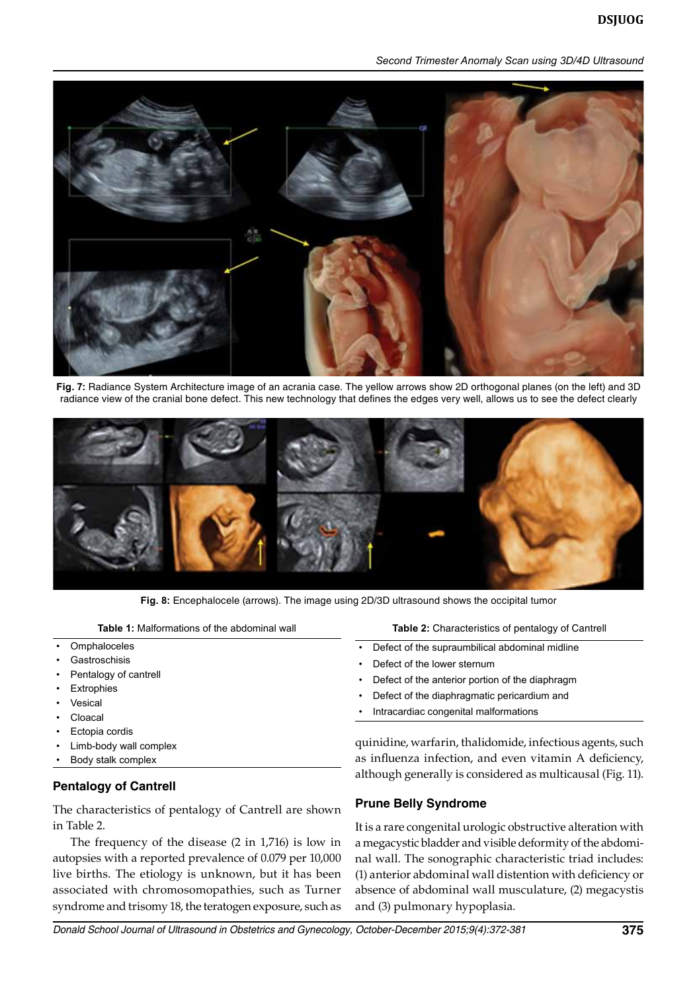

**Fig. 7:** Radiance System Architecture image of an acrania case. The yellow arrows show 2D orthogonal planes (on the left) and 3D radiance view of the cranial bone defect. This new technology that defines the edges very well, allows us to see the defect clearly



**Fig. 8:** Encephalocele (arrows). The image using 2D/3D ultrasound shows the occipital tumor

**Table 1:** Malformations of the abdominal wall

- **Omphaloceles**
- **Gastroschisis**
- Pentalogy of cantrell
- **Extrophies**
- **Vesical**
- **Cloacal**
- Ectopia cordis
- Limb-body wall complex
- Body stalk complex

#### **Pentalogy of Cantrell**

The characteristics of pentalogy of Cantrell are shown in Table 2.

The frequency of the disease (2 in 1,716) is low in autopsies with a reported prevalence of 0.079 per 10,000 live births. The etiology is unknown, but it has been associated with chromosomopathies, such as Turner syndrome and trisomy 18, the teratogen exposure, such as

**Table 2:** Characteristics of pentalogy of Cantrell

- Defect of the supraumbilical abdominal midline
- Defect of the lower sternum
- Defect of the anterior portion of the diaphragm
- Defect of the diaphragmatic pericardium and
- Intracardiac congenital malformations

quinidine, warfarin, thalidomide, infectious agents, such as influenza infection, and even vitamin A deficiency, although generally is considered as multicausal (Fig. 11).

#### **Prune Belly Syndrome**

It is a rare congenital urologic obstructive alteration with a megacystic bladder and visible deformity of the abdominal wall. The sonographic characteristic triad includes: (1) anterior abdominal wall distention with deficiency or absence of abdominal wall musculature, (2) megacystis and (3) pulmonary hypoplasia.

*Donald School Journal of Ultrasound in Obstetrics and Gynecology, October-December 2015;9(4):372-381* **375**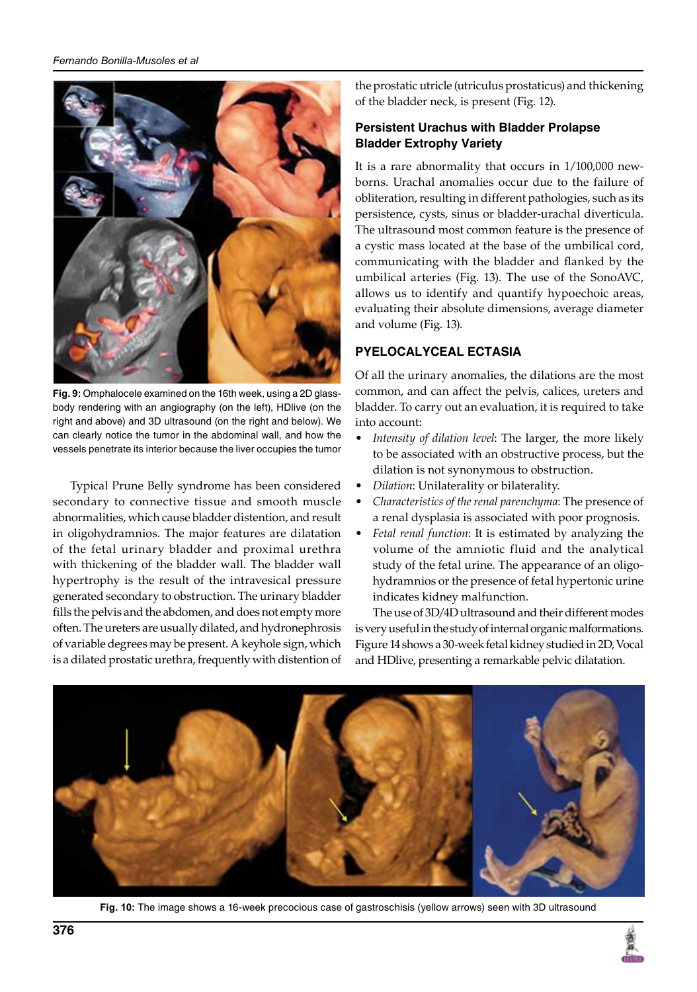

**Fig. 9:** Omphalocele examined on the 16th week, using a 2D glassbody rendering with an angiography (on the left), HDlive (on the right and above) and 3D ultrasound (on the right and below). We can clearly notice the tumor in the abdominal wall, and how the vessels penetrate its interior because the liver occupies the tumor

Typical Prune Belly syndrome has been considered secondary to connective tissue and smooth muscle abnormalities, which cause bladder distention, and result in oligohydramnios. The major features are dilatation of the fetal urinary bladder and proximal urethra with thickening of the bladder wall. The bladder wall hypertrophy is the result of the intravesical pressure generated secondary to obstruction. The urinary bladder fills the pelvis and the abdomen, and does not empty more often. The ureters are usually dilated, and hydronephrosis of variable degrees may be present. A keyhole sign, which is a dilated prostatic urethra, frequently with distention of

the prostatic utricle (utriculus prostaticus) and thickening of the bladder neck, is present (Fig. 12).

## **Persistent Urachus with Bladder Prolapse Bladder Extrophy Variety**

It is a rare abnormality that occurs in 1/100,000 newborns. Urachal anomalies occur due to the failure of obliteration, resulting in different pathologies, such as its persistence, cysts, sinus or bladder-urachal diverticula. The ultrasound most common feature is the presence of a cystic mass located at the base of the umbilical cord, communicating with the bladder and flanked by the umbilical arteries (Fig. 13). The use of the SonoAVC, allows us to identify and quantify hypoechoic areas, evaluating their absolute dimensions, average diameter and volume (Fig. 13).

# **PYELOCALYCEAL ECTASIA**

Of all the urinary anomalies, the dilations are the most common, and can affect the pelvis, calices, ureters and bladder. To carry out an evaluation, it is required to take into account:

- *Intensity of dilation level*: The larger, the more likely to be associated with an obstructive process, but the dilation is not synonymous to obstruction.
- *Dilation*: Unilaterality or bilaterality.
- *Characteristics of the renal parenchyma*: The presence of a renal dysplasia is associated with poor prognosis.
- *Fetal renal function*: It is estimated by analyzing the volume of the amniotic fluid and the analytical study of the fetal urine. The appearance of an oligohydramnios or the presence of fetal hypertonic urine indicates kidney malfunction.

The use of 3D/4D ultrasound and their different modes is very useful in the study of internal organic malformations. Figure 14 shows a 30-week fetal kidney studied in 2D, Vocal and HDlive, presenting a remarkable pelvic dilatation.



**Fig. 10:** The image shows a 16-week precocious case of gastroschisis (yellow arrows) seen with 3D ultrasound

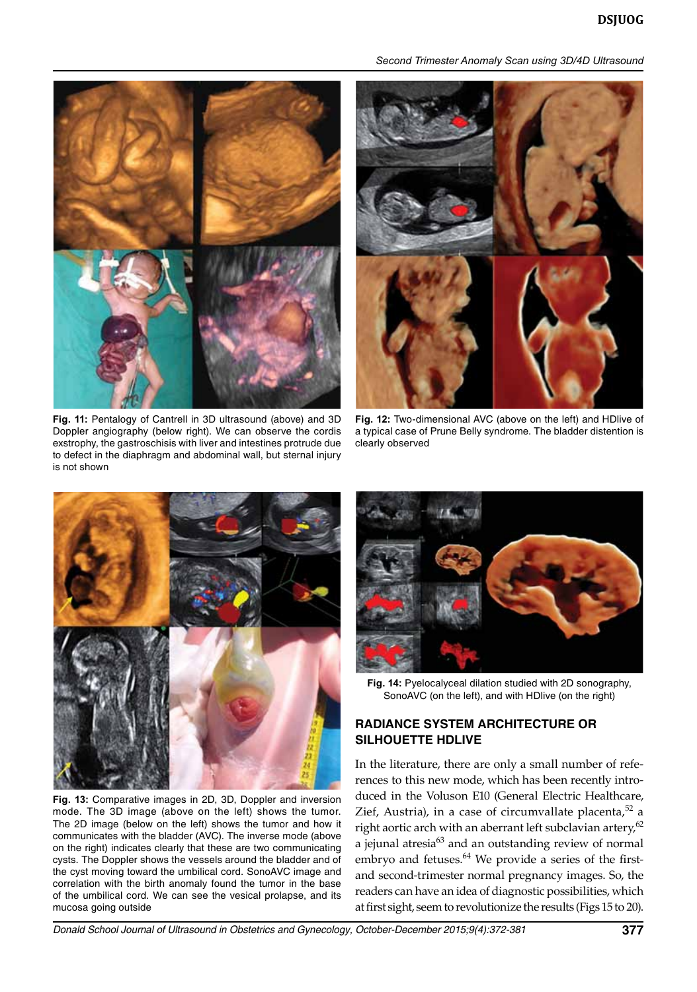



**Fig. 11:** Pentalogy of Cantrell in 3D ultrasound (above) and 3D Doppler angiography (below right). We can observe the cordis exstrophy, the gastroschisis with liver and intestines protrude due to defect in the diaphragm and abdominal wall, but sternal injury is not shown



**Fig. 12:** Two-dimensional AVC (above on the left) and HDlive of a typical case of Prune Belly syndrome. The bladder distention is clearly observed



**Fig. 13:** Comparative images in 2D, 3D, Doppler and inversion mode. The 3D image (above on the left) shows the tumor. The 2D image (below on the left) shows the tumor and how it communicates with the bladder (AVC). The inverse mode (above on the right) indicates clearly that these are two communicating cysts. The Doppler shows the vessels around the bladder and of the cyst moving toward the umbilical cord. SonoAVC image and correlation with the birth anomaly found the tumor in the base of the umbilical cord. We can see the vesical prolapse, and its mucosa going outside



**Fig. 14:** Pyelocalyceal dilation studied with 2D sonography, SonoAVC (on the left), and with HDlive (on the right)

## **RADIANCE SYSTEM ARCHITECTURE or SILHOUETTE HDLive**

In the literature, there are only a small number of references to this new mode, which has been recently introduced in the Voluson E10 (General Electric Healthcare, Zief, Austria), in a case of circumvallate placenta, $52$  a right aortic arch with an aberrant left subclavian artery, $62$ a jejunal atresia<sup>63</sup> and an outstanding review of normal embryo and fetuses.<sup>64</sup> We provide a series of the firstand second-trimester normal pregnancy images. So, the readers can have an idea of diagnostic possibilities, which at first sight, seem to revolutionize the results (Figs 15 to 20).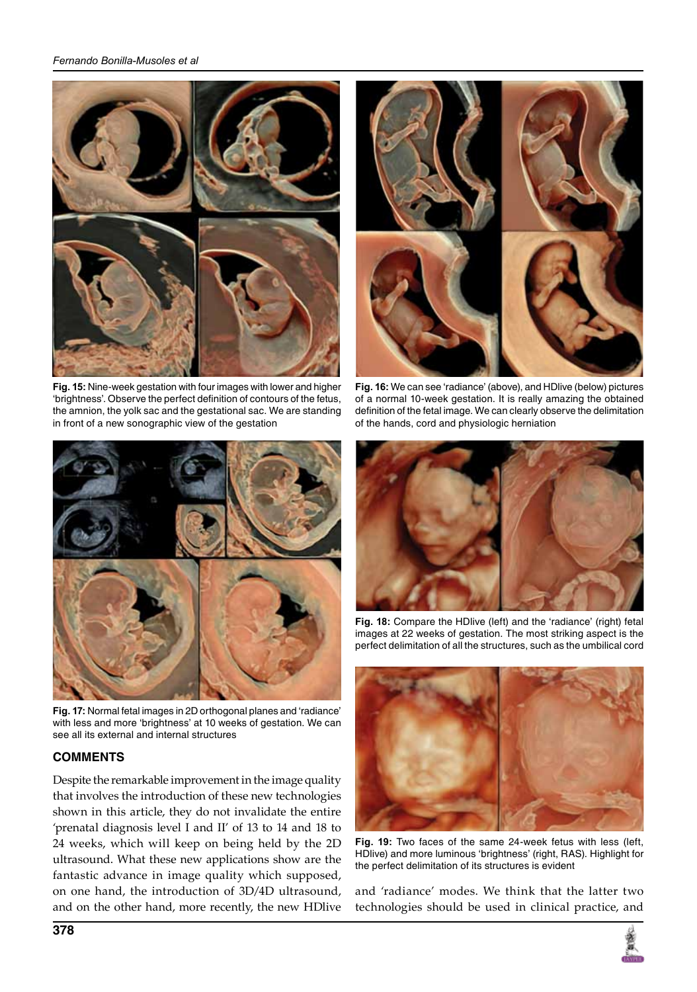

**Fig. 15:** Nine-week gestation with four images with lower and higher 'brightness'. Observe the perfect definition of contours of the fetus, the amnion, the yolk sac and the gestational sac. We are standing in front of a new sonographic view of the gestation



**Fig. 17:** Normal fetal images in 2D orthogonal planes and 'radiance' with less and more 'brightness' at 10 weeks of gestation. We can see all its external and internal structures

# **COMMENTS**

Despite the remarkable improvement in the image quality that involves the introduction of these new technologies shown in this article, they do not invalidate the entire 'prenatal diagnosis level I and II' of 13 to 14 and 18 to 24 weeks, which will keep on being held by the 2D ultrasound. What these new applications show are the fantastic advance in image quality which supposed, on one hand, the introduction of 3D/4D ultrasound, and on the other hand, more recently, the new HDlive



**Fig. 16:** We can see 'radiance' (above), and HDlive (below) pictures of a normal 10-week gestation. It is really amazing the obtained definition of the fetal image. We can clearly observe the delimitation of the hands, cord and physiologic herniation



**Fig. 18:** Compare the HDlive (left) and the 'radiance' (right) fetal images at 22 weeks of gestation. The most striking aspect is the perfect delimitation of all the structures, such as the umbilical cord



**Fig. 19:** Two faces of the same 24-week fetus with less (left, HDlive) and more luminous 'brightness' (right, RAS). Highlight for the perfect delimitation of its structures is evident

and 'radiance' modes. We think that the latter two technologies should be used in clinical practice, and

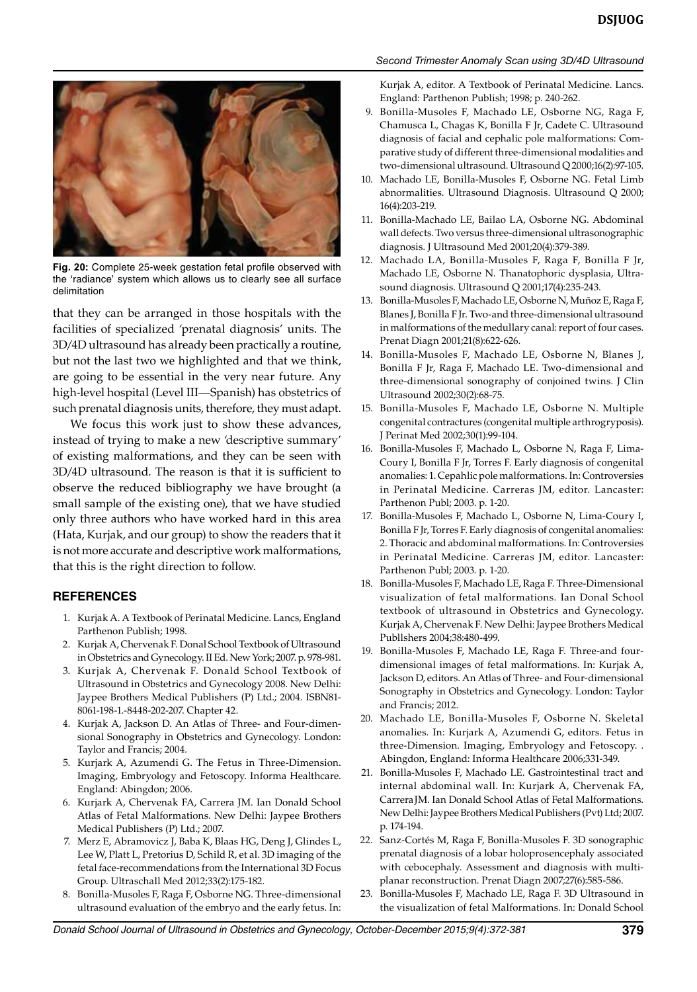



**Fig. 20:** Complete 25-week gestation fetal profile observed with the 'radiance' system which allows us to clearly see all surface delimitation

that they can be arranged in those hospitals with the facilities of specialized 'prenatal diagnosis' units. The 3D/4D ultrasound has already been practically a routine, but not the last two we highlighted and that we think, are going to be essential in the very near future. Any high-level hospital (Level III—Spanish) has obstetrics of such prenatal diagnosis units, therefore, they must adapt.

We focus this work just to show these advances, instead of trying to make a new 'descriptive summary' of existing malformations, and they can be seen with 3D/4D ultrasound. The reason is that it is sufficient to observe the reduced bibliography we have brought (a small sample of the existing one), that we have studied only three authors who have worked hard in this area (Hata, Kurjak, and our group) to show the readers that it is not more accurate and descriptive work malformations, that this is the right direction to follow.

#### **REFERENCES**

- 1. Kurjak A. A Textbook of Perinatal Medicine. Lancs, England Parthenon Publish; 1998.
- 2. Kurjak A, Chervenak F. Donal School Textbook of Ultrasound in Obstetrics and Gynecology. II Ed. New York; 2007. p. 978-981.
- 3. Kurjak A, Chervenak F. Donald School Textbook of Ultrasound in Obstetrics and Gynecology 2008. New Delhi: Jaypee Brothers Medical Publishers (P) Ltd.; 2004. ISBN81- 8061-198-1.-8448-202-207. Chapter 42.
- 4. Kurjak A, Jackson D. An Atlas of Three- and Four-dimensional Sonography in Obstetrics and Gynecology. London: Taylor and Francis; 2004.
- 5. Kurjark A, Azumendi G. The Fetus in Three-Dimension. Imaging, Embryology and Fetoscopy. Informa Healthcare. England: Abingdon; 2006.
- 6. Kurjark A, Chervenak FA, Carrera JM. Ian Donald School Atlas of Fetal Malformations. New Delhi: Jaypee Brothers Medical Publishers (P) Ltd.; 2007.
- 7. Merz E, Abramovicz J, Baba K, Blaas HG, Deng J, Glindes L, Lee W, Platt L, Pretorius D, Schild R, et al. 3D imaging of the fetal face-recommendations from the International 3D Focus Group. Ultraschall Med 2012;33(2):175-182.
- 8. Bonilla-Musoles F, Raga F, Osborne NG. Three-dimensional ultrasound evaluation of the embryo and the early fetus. In:

Kurjak A, editor. A Textbook of Perinatal Medicine. Lancs. England: Parthenon Publish; 1998; p. 240-262.

- 9. Bonilla-Musoles F, Machado LE, Osborne NG, Raga F, Chamusca L, Chagas K, Bonilla F Jr, Cadete C. Ultrasound diagnosis of facial and cephalic pole malformations: Comparative study of different three-dimensional modalities and two-dimensional ultrasound. Ultrasound Q 2000;16(2):97-105.
- 10. Machado LE, Bonilla-Musoles F, Osborne NG. Fetal Limb abnormalities. Ultrasound Diagnosis. Ultrasound Q 2000; 16(4):203-219.
- 11. Bonilla-Machado LE, Bailao LA, Osborne NG. Abdominal wall defects. Two versus three-dimensional ultrasonographic diagnosis. J Ultrasound Med 2001;20(4):379-389.
- 12. Machado LA, Bonilla-Musoles F, Raga F, Bonilla F Jr, Machado LE, Osborne N. Thanatophoric dysplasia, Ultrasound diagnosis. Ultrasound Q 2001;17(4):235-243.
- 13. Bonilla-Musoles F, Machado LE, Osborne N, Muñoz E, Raga F, Blanes J, Bonilla F Jr. Two-and three-dimensional ultrasound in malformations of the medullary canal: report of four cases. Prenat Diagn 2001;21(8):622-626.
- 14. Bonilla-Musoles F, Machado LE, Osborne N, Blanes J, Bonilla F Jr, Raga F, Machado LE. Two-dimensional and three-dimensional sonography of conjoined twins. J Clin Ultrasound 2002;30(2):68-75.
- 15. Bonilla-Musoles F, Machado LE, Osborne N. Multiple congenital contractures (congenital multiple arthrogryposis). J Perinat Med 2002;30(1):99-104.
- 16. Bonilla-Musoles F, Machado L, Osborne N, Raga F, Lima-Coury I, Bonilla F Jr, Torres F. Early diagnosis of congenital anomalies: 1. Cepahlic pole malformations. In: Controversies in Perinatal Medicine. Carreras JM, editor. Lancaster: Parthenon Publ; 2003. p. 1-20.
- 17. Bonilla-Musoles F, Machado L, Osborne N, Lima-Coury I, Bonilla F Jr, Torres F. Early diagnosis of congenital anomalies: 2. Thoracic and abdominal malformations. In: Controversies in Perinatal Medicine. Carreras JM, editor. Lancaster: Parthenon Publ; 2003. p. 1-20.
- 18. Bonilla-Musoles F, Machado LE, Raga F. Three-Dimensional visualization of fetal malformations. Ian Donal School textbook of ultrasound in Obstetrics and Gynecology. Kurjak A, Chervenak F. New Delhi: Jaypee Brothers Medical Publlshers 2004;38:480-499.
- 19. Bonilla-Musoles F, Machado LE, Raga F. Three-and fourdimensional images of fetal malformations. In: Kurjak A, Jackson D, editors. An Atlas of Three- and Four-dimensional Sonography in Obstetrics and Gynecology. London: Taylor and Francis; 2012.
- 20. Machado LE, Bonilla-Musoles F, Osborne N. Skeletal anomalies. In: Kurjark A, Azumendi G, editors. Fetus in three-Dimension. Imaging, Embryology and Fetoscopy. . Abingdon, England: Informa Healthcare 2006;331-349.
- 21. Bonilla-Musoles F, Machado LE. Gastrointestinal tract and internal abdominal wall. In: Kurjark A, Chervenak FA, CarreraJM. Ian Donald School Atlas of Fetal Malformations. New Delhi: Jaypee Brothers Medical Publishers (Pvt) Ltd; 2007. p. 174-194.
- 22. Sanz-Cortés M, Raga F, Bonilla-Musoles F. 3D sonographic prenatal diagnosis of a lobar holoprosencephaly associated with cebocephaly. Assessment and diagnosis with multiplanar reconstruction. Prenat Diagn 2007;27(6):585-586.
- 23. Bonilla-Musoles F, Machado LE, Raga F. 3D Ultrasound in the visualization of fetal Malformations. In: Donald School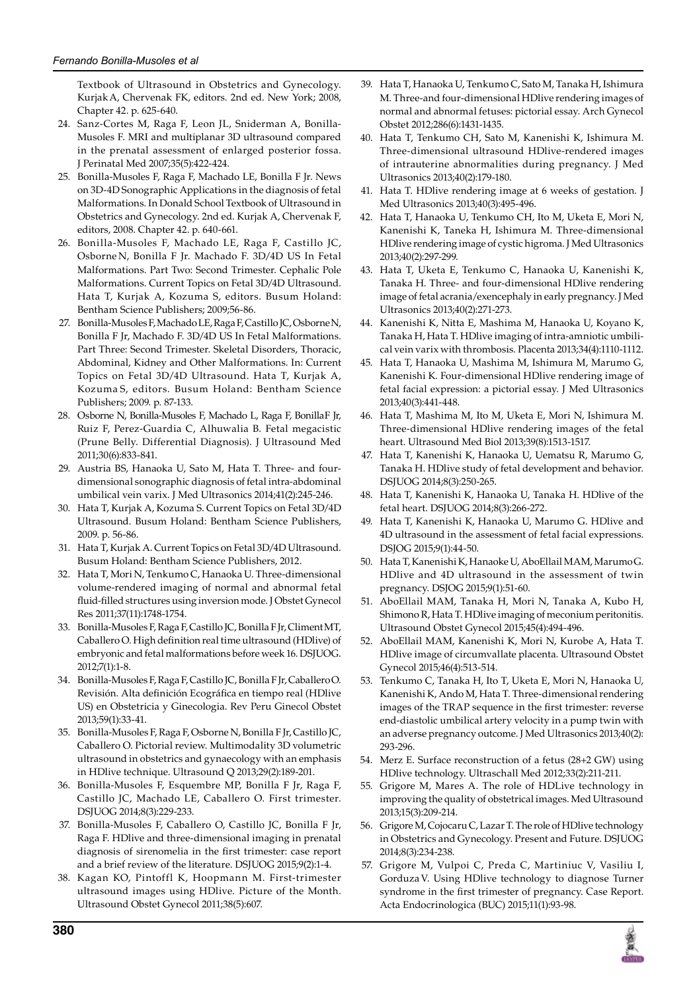Textbook of Ultrasound in Obstetrics and Gynecology. KurjakA, Chervenak FK, editors. 2nd ed. New York; 2008, Chapter 42. p. 625-640.

- 24. Sanz-Cortes M, Raga F, Leon JL, Sniderman A, Bonilla-Musoles F. MRI and multiplanar 3D ultrasound compared in the prenatal assessment of enlarged posterior fossa. J Perinatal Med 2007;35(5):422-424.
- 25. Bonilla-Musoles F, Raga F, Machado LE, Bonilla F Jr. News on 3D-4D Sonographic Applications in the diagnosis of fetal Malformations. In Donald School Textbook of Ultrasound in Obstetrics and Gynecology. 2nd ed. Kurjak A, Chervenak F, editors, 2008. Chapter 42. p. 640-661.
- 26. Bonilla-Musoles F, Machado LE, Raga F, Castillo JC, Osborne N, Bonilla F Jr. Machado F. 3D/4D US In Fetal Malformations. Part Two: Second Trimester. Cephalic Pole Malformations. Current Topics on Fetal 3D/4D Ultrasound. Hata T, Kurjak A, Kozuma S, editors. Busum Holand: Bentham Science Publishers; 2009;56-86.
- 27. Bonilla-Musoles F, Machado LE, Raga F, Castillo JC, OsborneN, Bonilla F Jr, Machado F. 3D/4D US In Fetal Malformations. Part Three: Second Trimester. Skeletal Disorders, Thoracic, Abdominal, Kidney and Other Malformations. In: Current Topics on Fetal 3D/4D Ultrasound. Hata T, Kurjak A, Kozuma S, editors. Busum Holand: Bentham Science Publishers; 2009. p. 87-133.
- 28. Osborne N, Bonilla-Musoles F, Machado L, Raga F, BonillaF Jr, Ruiz F, Perez-Guardia C, Alhuwalia B. Fetal megacistic (Prune Belly. Differential Diagnosis). J Ultrasound Med 2011;30(6):833-841.
- 29. Austria BS, Hanaoka U, Sato M, Hata T. Three- and fourdimensional sonographic diagnosis of fetal intra-abdominal umbilical vein varix. J Med Ultrasonics 2014;41(2):245-246.
- 30. Hata T, Kurjak A, Kozuma S. Current Topics on Fetal 3D/4D Ultrasound. Busum Holand: Bentham Science Publishers, 2009. p. 56-86.
- 31. Hata T, Kurjak A. Current Topics on Fetal 3D/4D Ultrasound. Busum Holand: Bentham Science Publishers, 2012.
- 32. Hata T, Mori N, Tenkumo C, Hanaoka U. Three-dimensional volume-rendered imaging of normal and abnormal fetal fluid-filled structures using inversion mode. J Obstet Gynecol Res 2011;37(11):1748-1754.
- 33. Bonilla-Musoles F, Raga F, Castillo JC, Bonilla F Jr, ClimentMT, Caballero O. High definition real time ultrasound (HDlive) of embryonic and fetal malformations before week 16. DSJUOG. 2012;7(1):1-8.
- 34. Bonilla-Musoles F, Raga F, Castillo JC, Bonilla F Jr, CaballeroO. Revisión. Alta definición Ecográfica en tiempo real (HDlive US) en Obstetricia y Ginecologia. Rev Peru Ginecol Obstet 2013;59(1):33-41.
- 35. Bonilla-Musoles F, Raga F, Osborne N, Bonilla F Jr, Castillo JC, Caballero O. Pictorial review. Multimodality 3D volumetric ultrasound in obstetrics and gynaecology with an emphasis in HDlive technique. Ultrasound Q 2013;29(2):189-201.
- 36. Bonilla-Musoles F, Esquembre MP, Bonilla F Jr, Raga F, Castillo JC, Machado LE, Caballero O. First trimester. DSJUOG 2014;8(3):229-233.
- 37. Bonilla-Musoles F, Caballero O, Castillo JC, Bonilla F Jr, Raga F. HDlive and three-dimensional imaging in prenatal diagnosis of sirenomelia in the first trimester: case report and a brief review of the literature. DSJUOG 2015;9(2):1-4.
- 38. Kagan KO, Pintoffl K, Hoopmann M. First-trimester ultrasound images using HDlive. Picture of the Month. Ultrasound Obstet Gynecol 2011;38(5):607.
- 39. Hata T, Hanaoka U, Tenkumo C, Sato M, Tanaka H, Ishimura M. Three-and four-dimensional HDlive rendering images of normal and abnormal fetuses: pictorial essay. Arch Gynecol Obstet 2012;286(6):1431-1435.
- 40. Hata T, Tenkumo CH, Sato M, Kanenishi K, Ishimura M. Three-dimensional ultrasound HDlive-rendered images of intrauterine abnormalities during pregnancy. J Med Ultrasonics 2013;40(2):179-180.
- 41. Hata T. HDlive rendering image at 6 weeks of gestation. J Med Ultrasonics 2013;40(3):495-496.
- 42. Hata T, Hanaoka U, Tenkumo CH, Ito M, Uketa E, Mori N, Kanenishi K, Taneka H, Ishimura M. Three-dimensional HDlive rendering image of cystic higroma. J Med Ultrasonics 2013;40(2):297-299.
- 43. Hata T, Uketa E, Tenkumo C, Hanaoka U, Kanenishi K, Tanaka H. Three- and four-dimensional HDlive rendering image of fetal acrania/exencephaly in early pregnancy. J Med Ultrasonics 2013;40(2):271-273.
- 44. Kanenishi K, Nitta E, Mashima M, Hanaoka U, Koyano K, Tanaka H, Hata T. HDlive imaging of intra-amniotic umbilical vein varix with thrombosis. Placenta 2013;34(4):1110-1112.
- 45. Hata T, Hanaoka U, Mashima M, Ishimura M, Marumo G, Kanenishi K. Four-dimensional HDlive rendering image of fetal facial expression: a pictorial essay. J Med Ultrasonics 2013;40(3):441-448.
- 46. Hata T, Mashima M, Ito M, Uketa E, Mori N, Ishimura M. Three-dimensional HDlive rendering images of the fetal heart. Ultrasound Med Biol 2013;39(8):1513-1517.
- 47. Hata T, Kanenishi K, Hanaoka U, Uematsu R, Marumo G, Tanaka H. HDlive study of fetal development and behavior. DSJUOG 2014;8(3):250-265.
- 48. Hata T, Kanenishi K, Hanaoka U, Tanaka H. HDlive of the fetal heart. DSJUOG 2014;8(3):266-272.
- 49. Hata T, Kanenishi K, Hanaoka U, Marumo G. HDlive and 4D ultrasound in the assessment of fetal facial expressions. DSJOG 2015;9(1):44-50.
- 50. Hata T, Kanenishi K, Hanaoke U, AboEllail MAM, MarumoG. HDlive and 4D ultrasound in the assessment of twin pregnancy. DSJOG 2015;9(1):51-60.
- 51. AboEllail MAM, Tanaka H, Mori N, Tanaka A, Kubo H, Shimono R, Hata T. HDlive imaging of meconium peritonitis. Ultrasound Obstet Gynecol 2015;45(4):494-496.
- 52. AboEllail MAM, Kanenishi K, Mori N, Kurobe A, Hata T. HDlive image of circumvallate placenta. Ultrasound Obstet Gynecol 2015;46(4):513-514.
- 53. Tenkumo C, Tanaka H, Ito T, Uketa E, Mori N, Hanaoka U, Kanenishi K, Ando M, Hata T. Three-dimensional rendering images of the TRAP sequence in the first trimester: reverse end-diastolic umbilical artery velocity in a pump twin with an adverse pregnancy outcome. J Med Ultrasonics 2013;40(2): 293-296.
- 54. Merz E. Surface reconstruction of a fetus (28+2 GW) using HDlive technology. Ultraschall Med 2012;33(2):211-211.
- 55. Grigore M, Mares A. The role of HDLive technology in improving the quality of obstetrical images. Med Ultrasound 2013;15(3):209-214.
- 56. Grigore M, Cojocaru C, Lazar T. The role of HDlive technology in Obstetrics and Gynecology. Present and Future. DSJUOG 2014;8(3):234-238.
- 57. Grigore M, Vulpoi C, Preda C, Martiniuc V, Vasiliu I, GorduzaV. Using HDlive technology to diagnose Turner syndrome in the first trimester of pregnancy. Case Report. Acta Endocrinologica (BUC) 2015;11(1):93-98.